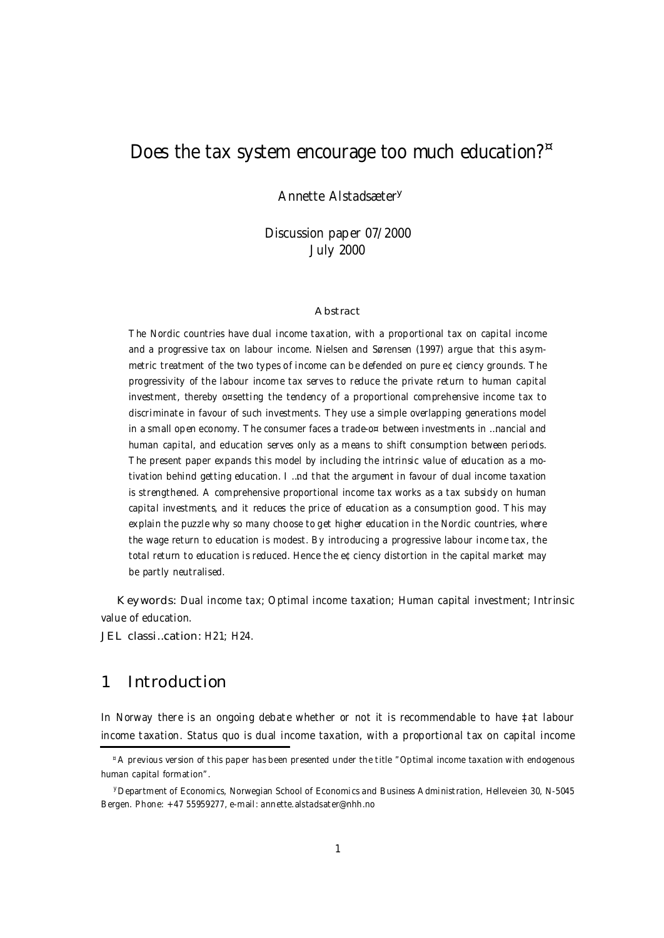# Does the tax system encourage too much education? ¤

Annette Alstadsæter<sup>y</sup>

Discussion paper 07/2000 July 2000

#### Abstract

The Nordic countries have dual income taxation, with a proportional tax on capital income and a progressive tax on labour income. Nielsen and Sørensen (1997) argue that this asymmetric treatment of the two types of income can be defended on pure e¢ciency grounds. The progressivity of the labour income tax serves to reduce the private return to human capital investment, thereby o¤setting the tendency of a proportional comprehensive income tax to discriminate in favour of such investments. They use a simple overlapping generations model in a small open economy. The consumer faces a trade-o¤ between investments in …nancial and human capital, and education serves only as a means to shift consumption between periods. The present paper expands this model by including the intrinsic value of education as a motivation behind getting education. I …nd that the argument in favour of dual income taxation is strengthened. A comprehensive proportional income tax works as a tax subsidy on human capital investments, and it reduces the price of education as a consumption good. This may explain the puzzle why so many choose to get higher education in the Nordic countries, where the wage return to education is modest. By introducing a progressive labour income tax, the total return to education is reduced. Hence the e¢ciency distortion in the capital market may be partly neutralised.

Keywords: Dual income tax; Optimal income taxation; Human capital investment; Intrinsic value of education.

JEL classi…cation: H21; H24.

## 1 Introduction

In Norway there is an ongoing debate whether or not it is recommendable to have ‡at labour income taxation. Status quo is dual income taxation, with a proportional tax on capital income

<sup>¤</sup>A previous version of this paper has been presented under the title "Optimal income taxation with endogenous human capital formation".

yDepartment of Economics, Norwegian School of Economics and Business Administration, Helleveien 30, N-5045 Bergen. Phone: +47 55959277, e-mail: annette.alstadsater@nhh.no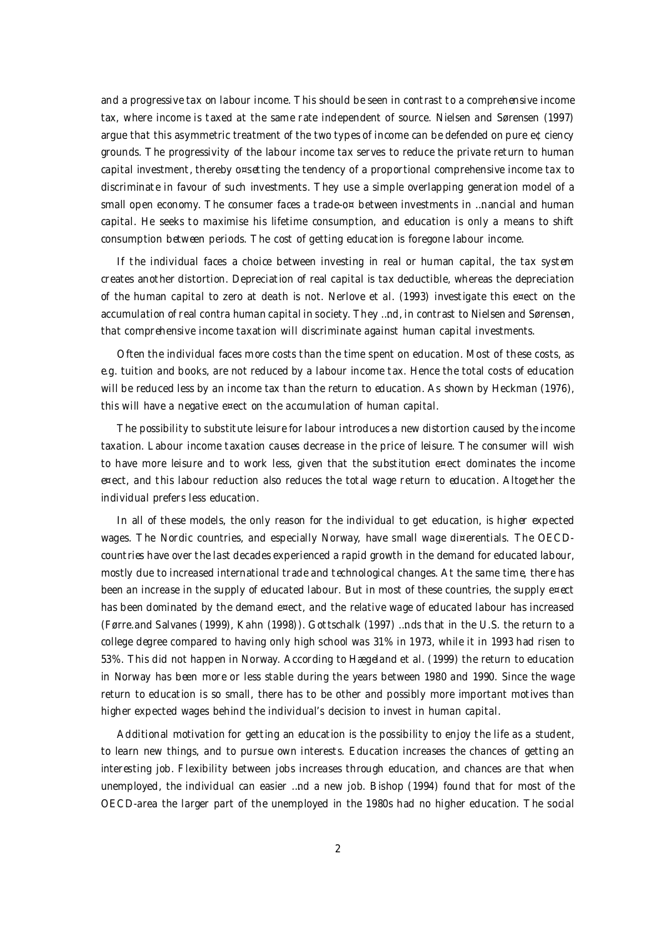and a progressive tax on labour income. This should be seen in contrast to a comprehensive income tax, where income is taxed at the same rate independent of source. Nielsen and Sørensen (1997) argue that this asymmetric treatment of the two types of income can be defended on pure e¢ciency grounds. The progressivity of the labour income tax serves to reduce the private return to human capital investment, thereby o¤setting the tendency of a proportional comprehensive income tax to discriminate in favour of such investments. They use a simple overlapping generation model of a small open economy. The consumer faces a trade-o $\alpha$  between investments in ... nancial and human capital. He seeks to maximise his lifetime consumption, and education is only a means to shift consumption between periods. The cost of getting education is foregone labour income.

If the individual faces a choice between investing in real or human capital, the tax system creates another distortion. Depreciation of real capital is tax deductible, whereas the depreciation of the human capital to zero at death is not. Nerlove et al. (1993) investigate this e¤ect on the accumulation of real contra human capital in society. They …nd, in contrast to Nielsen and Sørensen, that comprehensive income taxation will discriminate against human capital investments.

Often the individual faces more costs than the time spent on education. Most of these costs, as e.g. tuition and books, are not reduced by a labour income tax. Hence the total costs of education will be reduced less by an income tax than the return to education. As shown by Heckman (1976), this will have a negative e¤ect on the accumulation of human capital.

The possibility to substitute leisure for labour introduces a new distortion caused by the income taxation. Labour income taxation causes decrease in the price of leisure. The consumer will wish to have more leisure and to work less, given that the substitution e¤ect dominates the income e¤ect, and this labour reduction also reduces the total wage return to education. Altogether the individual prefers less education.

In all of these models, the only reason for the individual to get education, is higher expected wages. The Nordic countries, and especially Norway, have small wage di¤erentials. The OECDcountries have over the last decades experienced a rapid growth in the demand for educated labour, mostly due to increased international trade and technological changes. At the same time, there has been an increase in the supply of educated labour. But in most of these countries, the supply e¤ect has been dominated by the demand e¤ect, and the relative wage of educated labour has increased (Førre.and Salvanes (1999), Kahn (1998)). Gottschalk (1997) …nds that in the U.S. the return to a college degree compared to having only high school was 31% in 1973, while it in 1993 had risen to 53%. This did not happen in Norway. According to Hægeland et al. (1999) the return to education in Norway has been more or less stable during the years between 1980 and 1990. Since the wage return to education is so small, there has to be other and possibly more important motives than higher expected wages behind the individual's decision to invest in human capital.

Additional motivation for getting an education is the possibility to enjoy the life as a student, to learn new things, and to pursue own interests. Education increases the chances of getting an interesting job. Flexibility between jobs increases through education, and chances are that when unemployed, the individual can easier …nd a new job. Bishop (1994) found that for most of the OECD-area the larger part of the unemployed in the 1980s had no higher education. The social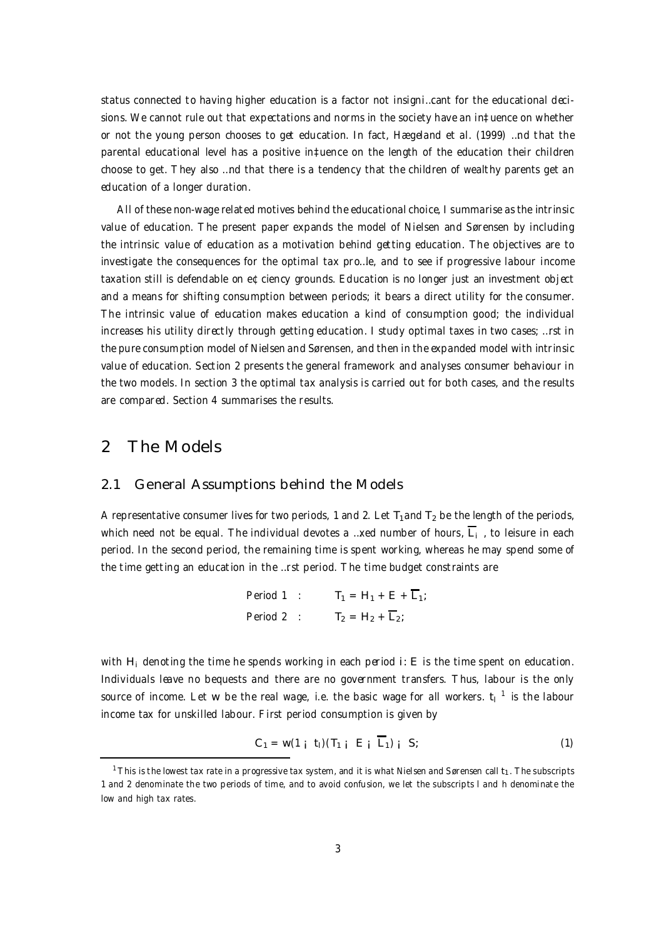status connected to having higher education is a factor not insigni…cant for the educational decisions. We cannot rule out that expectations and norms in the society have an in‡uence on whether or not the young person chooses to get education. In fact, Hægeland et al. (1999) …nd that the parental educational level has a positive in‡uence on the length of the education their children choose to get. They also …nd that there is a tendency that the children of wealthy parents get an education of a longer duration.

All of these non-wage related motives behind the educational choice, I summarise as the intrinsic value of education. The present paper expands the model of Nielsen and Sørensen by including the intrinsic value of education as a motivation behind getting education. The objectives are to investigate the consequences for the optimal tax pro…le, and to see if progressive labour income taxation still is defendable on e¢ciency grounds. Education is no longer just an investment object and a means for shifting consumption between periods; it bears a direct utility for the consumer. The intrinsic value of education makes education a kind of consumption good; the individual increases his utility directly through getting education. I study optimal taxes in two cases; …rst in the pure consumption model of Nielsen and Sørensen, and then in the expanded model with intrinsic value of education. Section 2 presents the general framework and analyses consumer behaviour in the two models. In section 3 the optimal tax analysis is carried out for both cases, and the results are compared. Section 4 summarises the results.

## 2 The Models

#### 2.1 General Assumptions behind the Models

A representative consumer lives for two periods, 1 and 2. Let  $T_1$  and  $T_2$  be the length of the periods, which need not be equal. The individual devotes a …xed number of hours,  $\sf L_i$  , to leisure in each period. In the second period, the remaining time is spent working, whereas he may spend some of the time getting an education in the …rst period. The time budget constraints are

$$
\begin{aligned}\n\text{Period 1} & : & \mathsf{T}_1 &= \mathsf{H}_1 + \mathsf{E} + \overline{\mathsf{L}}_1; \\
\text{Period 2} & : & \mathsf{T}_2 &= \mathsf{H}_2 + \overline{\mathsf{L}}_2;\n\end{aligned}
$$

with  $H_i$  denoting the time he spends working in each period i: E is the time spent on education. Individuals leave no bequests and there are no government transfers. Thus, labour is the only source of income. Let w be the real wage, i.e. the basic wage for all workers.  $t_1^{-1}$  is the labour income tax for unskilled labour. First period consumption is given by

$$
C_1 = w(1 \mathbf{i} \ \mathbf{t}_1)(T_{1 \mathbf{i}} \ \mathbf{E} \mathbf{i} \ \overline{L}_1) \mathbf{i} \ \mathbf{S}; \tag{1}
$$

<sup>&</sup>lt;sup>1</sup> This is the lowest tax rate in a progressive tax system, and it is what Nielsen and Sørensen call t<sub>1</sub>. The subscripts 1 and 2 denominate the two periods of time, and to avoid confusion, we let the subscripts l and h denominate the low and high tax rates.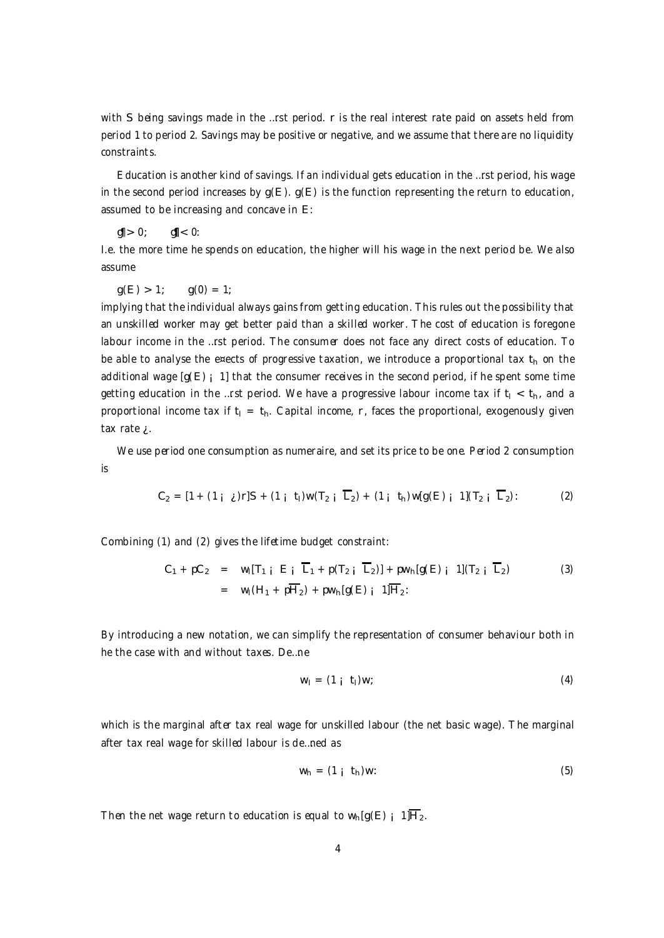with S being savings made in the ...rst period. r is the real interest rate paid on assets held from period 1 to period 2. Savings may be positive or negative, and we assume that there are no liquidity constraints.

Education is another kind of savings. If an individual gets education in the …rst period, his wage in the second period increases by  $g(E)$ .  $g(E)$  is the function representing the return to education, assumed to be increasing and concave in E:

 $g|| > 0;$   $g|| < 0:$ 

I.e. the more time he spends on education, the higher will his wage in the next period be. We also assume

 $q(E) > 1$ ;  $q(0) = 1$ ;

implying that the individual always gains from getting education. This rules out the possibility that an unskilled worker may get better paid than a skilled worker. The cost of education is foregone labour income in the …rst period. The consumer does not face any direct costs of education. To be able to analyse the e¤ects of progressive taxation, we introduce a proportional tax  $t<sub>h</sub>$  on the additional wage  $[g(E)$  i 1] that the consumer receives in the second period, if he spent some time getting education in the …rst period. We have a progressive labour income tax if  $t_1 < t_0$ , and a proportional income tax if  $t_1 = t_0$ . Capital income, r, faces the proportional, exogenously given tax rate  $\lambda$ .

We use period one consumption as numeraire, and set its price to be one. Period 2 consumption is

$$
C_2 = [1 + (1 \mathbf{i} \mathbf{j})r]S + (1 \mathbf{i} \mathbf{i})w(T_2 \mathbf{j} \overline{L}_2) + (1 \mathbf{i} \mathbf{i} \mathbf{i})w(g(E) \mathbf{i} \overline{L}_2): \qquad (2)
$$

Combining (1) and (2) gives the lifetime budget constraint:

$$
C_1 + pC_2 = w_1[T_{1 i} E_i \overline{L}_1 + p(T_{2 i} \overline{L}_2)] + p w_{n}[g(E) i 1](T_{2 i} \overline{L}_2)
$$
  
= 
$$
w_1(H_1 + p\overline{H}_2) + p w_{n}[g(E) i 1]\overline{H}_2
$$
 (3)

By introducing a new notation, we can simplify the representation of consumer behaviour both in he the case with and without taxes. De…ne

$$
w_1 = (1 \t i \t 1)w; \t(4)
$$

which is the marginal after tax real wage for unskilled labour (the net basic wage). The marginal after tax real wage for skilled labour is de…ned as

$$
w_h = (1 \text{ i } t_h)w: \tag{5}
$$

Then the net wage return to education is equal to  $w_h[g(E)]$  1] $\overline{H}_2$ .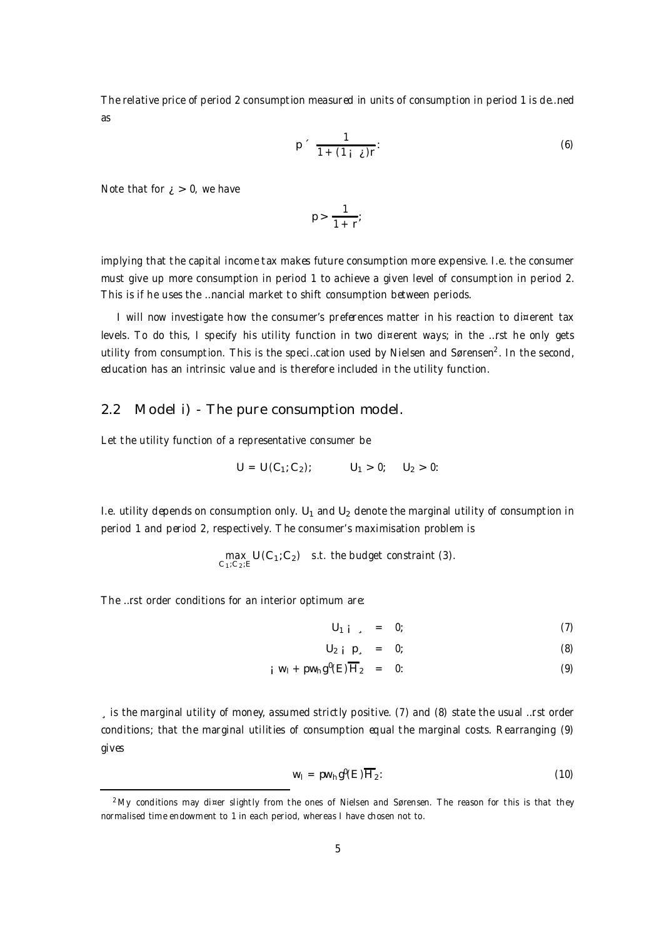The relative price of period 2 consumption measured in units of consumption in period 1 is de…ned as

$$
p \sim \frac{1}{1 + (1 + \lambda)r}.
$$
 (6)

Note that for  $i > 0$ , we have

$$
p > \frac{1}{1+r};
$$

implying that the capital income tax makes future consumption more expensive. I.e. the consumer must give up more consumption in period 1 to achieve a given level of consumption in period 2. This is if he uses the …nancial market to shift consumption between periods.

I will now investigate how the consumer's preferences matter in his reaction to di¤erent tax levels. To do this, I specify his utility function in two di¤erent ways; in the …rst he only gets utility from consumption. This is the speci…cation used by Nielsen and Sørensen $^2$ . In the second, education has an intrinsic value and is therefore included in the utility function.

### 2.2 Model i) - The pure consumption model.

Let the utility function of a representative consumer be

$$
U = U(C_1; C_2); \qquad U_1 > 0; \qquad U_2 > 0;
$$

I.e. utility depends on consumption only.  $U_1$  and  $U_2$  denote the marginal utility of consumption in period 1 and period 2, respectively. The consumer's maximisation problem is

$$
\max_{C_1; C_2; E} U(C_1; C_2) \quad \text{s.t. the budget constraint (3).}
$$

The …rst order conditions for an interior optimum are:

$$
U_{1 i} = 0; \t\t(7)
$$

$$
U_2 \quad \vdots \quad D_s \quad = \quad 0; \tag{8}
$$

$$
i W_1 + pw_h g^0(E) \overline{H}_2 = 0: \qquad (9)
$$

¸ is the marginal utility of money, assumed strictly positive. (7) and (8) state the usual …rst order conditions; that the marginal utilities of consumption equal the marginal costs. Rearranging (9) gives

$$
w_1 = pw_h g^0(E) \overline{H}_2:
$$
 (10)

<sup>&</sup>lt;sup>2</sup> My conditions may di¤er slightly from the ones of Nielsen and Sørensen. The reason for this is that they normalised time endowment to 1 in each period, whereas I have chosen not to.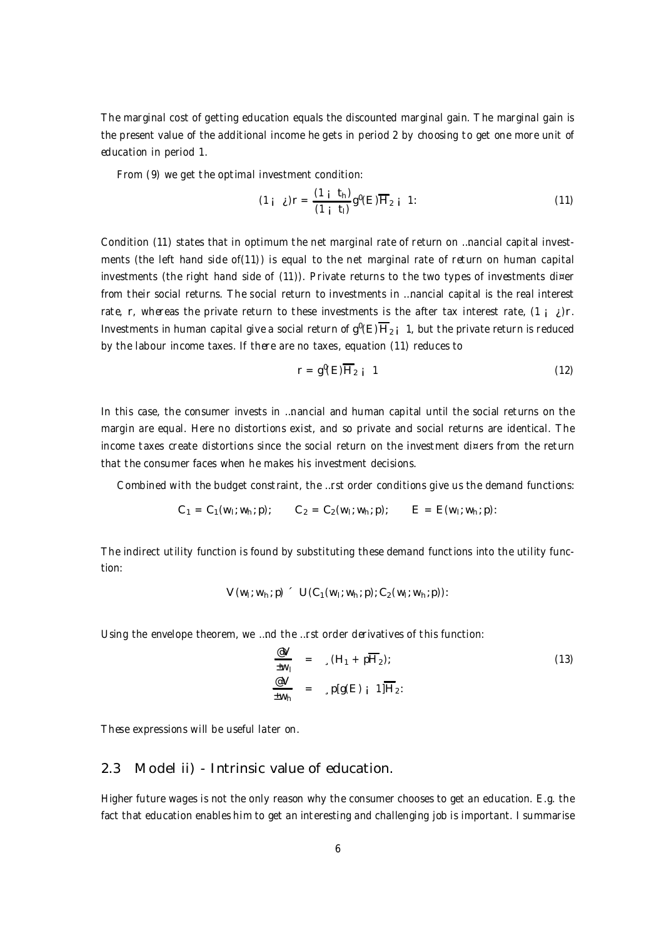The marginal cost of getting education equals the discounted marginal gain. The marginal gain is the present value of the additional income he gets in period 2 by choosing to get one more unit of education in period 1.

From (9) we get the optimal investment condition:

$$
(1 + \lambda)r = \frac{(1 + t_h)}{(1 + t_l)}g^0(E)\overline{H}_{2+1} 1: \qquad (11)
$$

Condition (11) states that in optimum the net marginal rate of return on …nancial capital investments (the left hand side of(11)) is equal to the net marginal rate of return on human capital investments (the right hand side of (11)). Private returns to the two types of investments di¤er from their social returns. The social return to investments in …nancial capital is the real interest rate, r, whereas the private return to these investments is the after tax interest rate,  $(1, i)$ r. Investments in human capital give a social return of  $g^0(E)H_{2|i}$  1, but the private return is reduced by the labour income taxes. If there are no taxes, equation (11) reduces to

$$
r = g^{0}(E)\overline{H}_{2} \quad 1 \tag{12}
$$

In this case, the consumer invests in …nancial and human capital until the social returns on the margin are equal. Here no distortions exist, and so private and social returns are identical. The income taxes create distortions since the social return on the investment di¤ers from the return that the consumer faces when he makes his investment decisions.

Combined with the budget constraint, the …rst order conditions give us the demand functions:

$$
C_1 = C_1(w_1; w_n; p);
$$
  $C_2 = C_2(w_1; w_n; p);$   $E = E(w_1; w_n; p);$ 

The indirect utility function is found by substituting these demand functions into the utility function:

$$
V(w_1; w_n; p) = U(C_1(w_1; w_n; p); C_2(w_1; w_n; p))
$$

Using the envelope theorem, we …nd the …rst order derivatives of this function:

$$
\frac{\mathcal{C}V}{\mathcal{C}W_1} = \sqrt{(H_1 + pH_2)};
$$
\n
$$
\frac{\mathcal{C}V}{\mathcal{C}W_1} = \sqrt{p[g(E)]} \cdot 1]\overline{H_2};
$$
\n(13)

These expressions will be useful later on.

#### 2.3 Model ii) - Intrinsic value of education.

Higher future wages is not the only reason why the consumer chooses to get an education. E.g. the fact that education enables him to get an interesting and challenging job is important. I summarise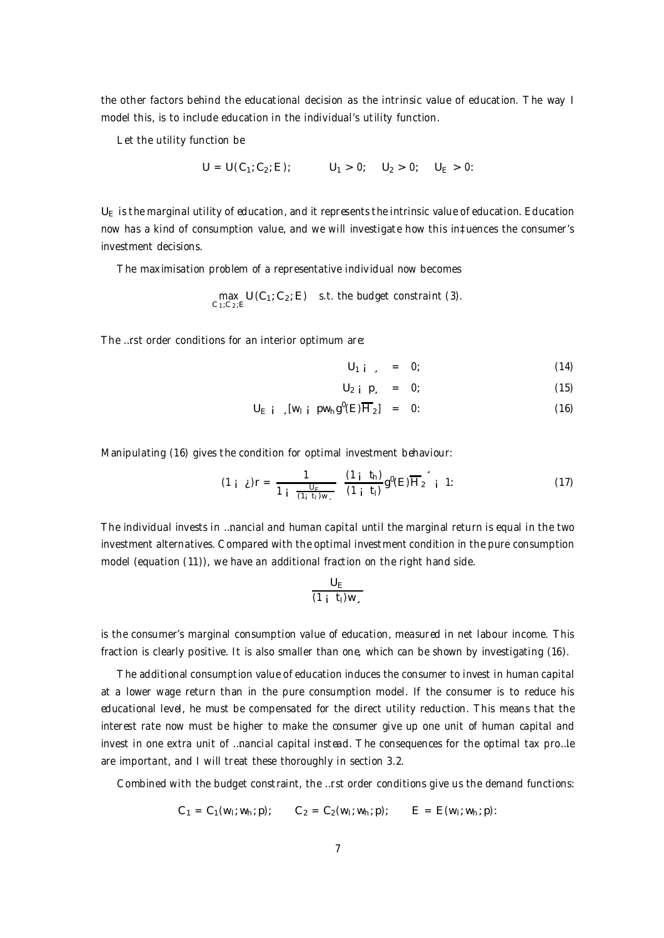the other factors behind the educational decision as the intrinsic value of education. The way I model this, is to include education in the individual's utility function.

Let the utility function be

$$
U = U(C_1; C_2; E); \qquad U_1 > 0; \quad U_2 > 0; \quad U_E > 0;
$$

 $U<sub>E</sub>$  is the marginal utility of education, and it represents the intrinsic value of education. Education now has a kind of consumption value, and we will investigate how this in‡uences the consumer's investment decisions.

The maximisation problem of a representative individual now becomes

$$
\max_{C_1; C_2; E} U(C_1; C_2; E) \quad \text{s.t. the budget constraint (3).}
$$

The …rst order conditions for an interior optimum are:

$$
\mathsf{U}_{1\ \mathsf{i}}\quad,\quad =\quad 0;\tag{14}
$$

$$
U_2 \quad \rho \quad = \quad 0; \tag{15}
$$

$$
U_{E i} \quad [w_{i} \quad pw_{h}g^{0}(E)\overline{H}_{2}] = 0: \qquad (16)
$$

Manipulating (16) gives the condition for optimal investment behaviour:

$$
(1 \, \mathbf{i} \, \mathbf{j})\mathbf{r} = \frac{1}{1 \, \mathbf{i} \, \frac{\mathbf{U}_{\mathbf{F}}}{(1 \, \mathbf{i} \, \mathbf{i})\mathbf{w}_{s}}} \, \frac{(1 \, \mathbf{i} \, \mathbf{t}_{\mathbf{h}})}{(1 \, \mathbf{i} \, \mathbf{t}_{\mathbf{l}})} g^{\mathbf{0}}(\mathbf{E}) \overline{\mathbf{H}}_{2} \, \mathbf{i} \, 1; \tag{17}
$$

The individual invests in …nancial and human capital until the marginal return is equal in the two investment alternatives. Compared with the optimal investment condition in the pure consumption model (equation (11)), we have an additional fraction on the right hand side.

$$
\frac{U_E}{(1+i)W_s}
$$

is the consumer's marginal consumption value of education, measured in net labour income. This fraction is clearly positive. It is also smaller than one, which can be shown by investigating (16).

The additional consumption value of education induces the consumer to invest in human capital at a lower wage return than in the pure consumption model. If the consumer is to reduce his educational level, he must be compensated for the direct utility reduction. This means that the interest rate now must be higher to make the consumer give up one unit of human capital and invest in one extra unit of …nancial capital instead. The consequences for the optimal tax pro…le are important, and I will treat these thoroughly in section 3.2.

Combined with the budget constraint, the …rst order conditions give us the demand functions:

$$
C_1 = C_1(w_1; w_n; p);
$$
  $C_2 = C_2(w_1; w_n; p);$   $E = E(w_1; w_n; p);$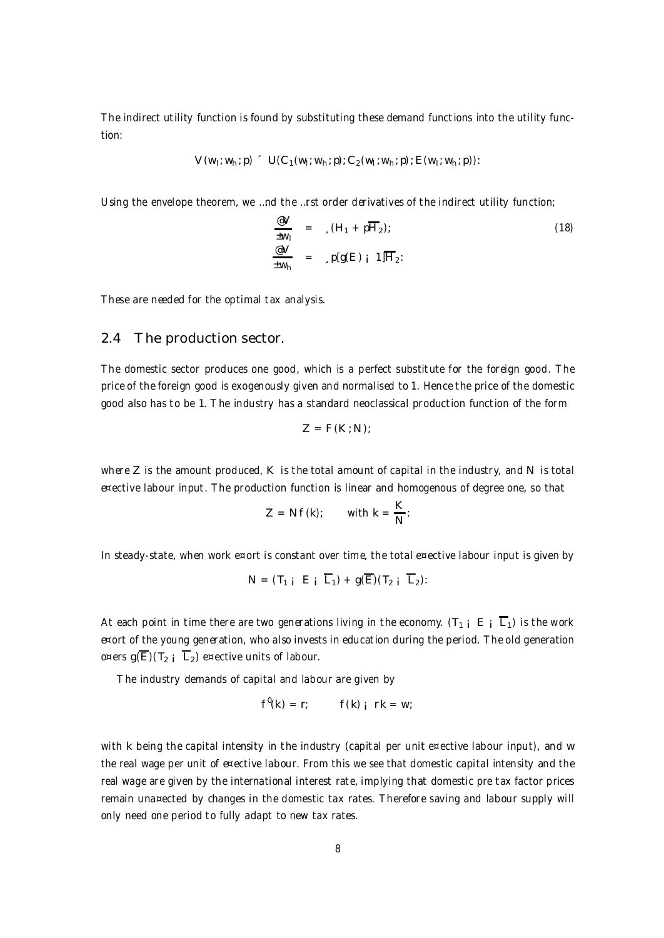The indirect utility function is found by substituting these demand functions into the utility function:

$$
V(w_1; w_h; p) = U(C_1(w_1; w_h; p); C_2(w_1; w_h; p); E(w_1; w_h; p))
$$

Using the envelope theorem, we …nd the …rst order derivatives of the indirect utility function;

$$
\frac{\mathcal{C}V}{\mathcal{W}_1} = \sqrt{(H_1 + pH_2)};
$$
\n
$$
\frac{\mathcal{C}V}{\mathcal{W}_1} = \sqrt{p[g(E)]} \cdot 1]\overline{H}_2;
$$
\n(18)

These are needed for the optimal tax analysis.

#### 2.4 The production sector.

The domestic sector produces one good, which is a perfect substitute for the foreign good. The price of the foreign good is exogenously given and normalised to 1. Hence the price of the domestic good also has to be 1. The industry has a standard neoclassical production function of the form

$$
Z = F(K;N);
$$

where  $Z$  is the amount produced,  $K$  is the total amount of capital in the industry, and N is total e¤ective labour input. The production function is linear and homogenous of degree one, so that

$$
Z = Nf(k); \qquad \text{with } k = \frac{K}{N}:
$$

In steady-state, when work e¤ort is constant over time, the total e¤ective labour input is given by

$$
N = (T_1 \mathbf{i} \quad E \mathbf{j} \quad \overline{L}_1) + g(\overline{E})(T_2 \mathbf{i} \quad \overline{L}_2)
$$

At each point in time there are two generations living in the economy. ( $T_{1 i} E_i \overline{L}_1$ ) is the work e¤ort of the young generation, who also invests in education during the period. The old generation o¤ers  $g(\overline{E})(T_2 \overline{L}_2)$  e¤ective units of labour.

The industry demands of capital and labour are given by

$$
f^0(k) = r; \qquad f(k) \quad \text{r} \quad k = w;
$$

with k being the capital intensity in the industry (capital per unit e¤ective labour input), and w the real wage per unit of e¤ective labour. From this we see that domestic capital intensity and the real wage are given by the international interest rate, implying that domestic pre tax factor prices remain una¤ected by changes in the domestic tax rates. Therefore saving and labour supply will only need one period to fully adapt to new tax rates.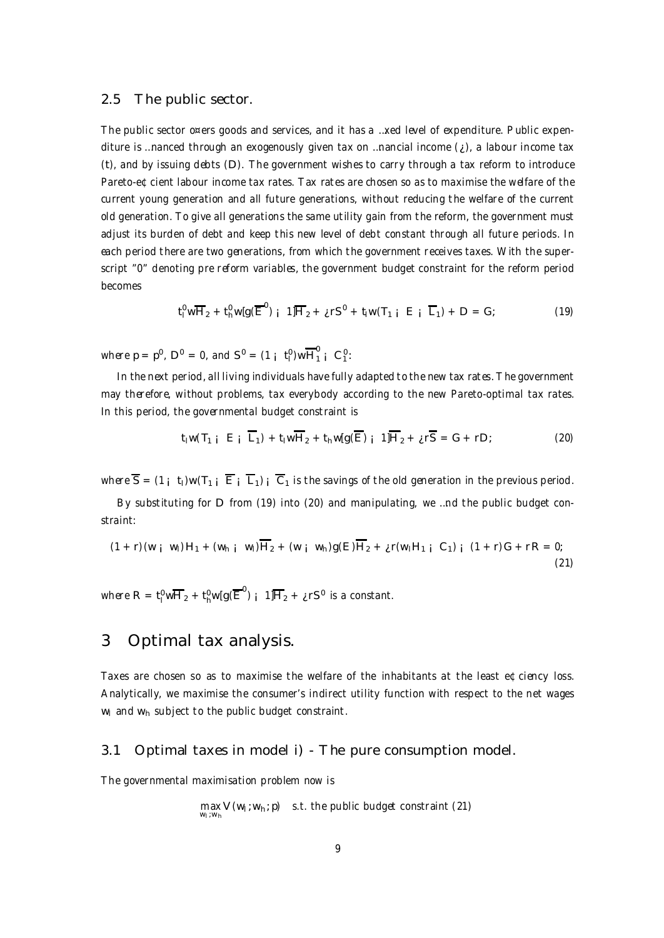#### 2.5 The public sector.

The public sector o¤ers goods and services, and it has a …xed level of expenditure. Public expenditure is …nanced through an exogenously given tax on …nancial income  $(i)$ , a labour income tax (t), and by issuing debts (D). The government wishes to carry through a tax reform to introduce Pareto-e¢cient labour income tax rates. Tax rates are chosen so as to maximise the welfare of the current young generation and all future generations, without reducing the welfare of the current old generation. To give all generations the same utility gain from the reform, the government must adjust its burden of debt and keep this new level of debt constant through all future periods. In each period there are two generations, from which the government receives taxes. With the superscript "0" denoting pre reform variables, the government budget constraint for the reform period becomes

$$
t_1^0 w \overline{H}_2 + t_h^0 w [g(\overline{E}^0)_{i} 1] \overline{H}_2 + i r S^0 + t_l w (T_{1 i} E_{i} \overline{L}_1) + D = G; \qquad (19)
$$

where  $p = p^0$ ,  $D^0 = 0$ , and  $S^0 = (1 + t_1^0)w \overline{H}_1^0 + C_1^0$ :

In the next period, all living individuals have fully adapted to the new tax rates. The government may therefore, without problems, tax everybody according to the new Pareto-optimal tax rates. In this period, the governmental budget constraint is

$$
t_1 w(T_1 \mathbf{i} \mathbf{E} \mathbf{i} \overline{\mathbf{L}}_1) + t_1 w \overline{\mathbf{H}}_2 + t_1 w g(\overline{\mathbf{E}}) \mathbf{i} \mathbf{1} \overline{\mathbf{H}}_2 + \mathbf{j} \mathbf{r} \overline{\mathbf{S}} = \mathbf{G} + \mathbf{r} \mathbf{D};
$$
 (20)

where  $\overline{S} = (1 \mathbf{i} \mathbf{i}) \mathbf{w} (T_1 \mathbf{i} \overline{E} \mathbf{i} \overline{L_1}) \mathbf{i} \overline{C_1}$  is the savings of the old generation in the previous period.

By substituting for D from (19) into (20) and manipulating, we …nd the public budget constraint:

$$
(1 + r)(w_i w_i)H_1 + (w_{h i} w_i)\overline{H}_2 + (w_i w_h)g(E)\overline{H}_2 + i r(w_i H_1 i C_1) i (1 + r)G + rR = 0;
$$
\n(21)

where  $R = t_1^0 w \overline{H}_2 + t_1^0 w [g(\overline{E}^0)_{1} 1] \overline{H}_2 + i_1^0 s^0$  is a constant.

## 3 Optimal tax analysis.

Taxes are chosen so as to maximise the welfare of the inhabitants at the least e¢ciency loss. Analytically, we maximise the consumer's indirect utility function with respect to the net wages  $w_1$  and  $w_2$  subject to the public budget constraint.

#### 3.1 Optimal taxes in model i) - The pure consumption model.

The governmental maximisation problem now is

max V (w<sub>i</sub> ; w<sub>h</sub> ; p) s.t. the public budget constraint (21)<br><sup>w</sup>i <sup>; w</sup>h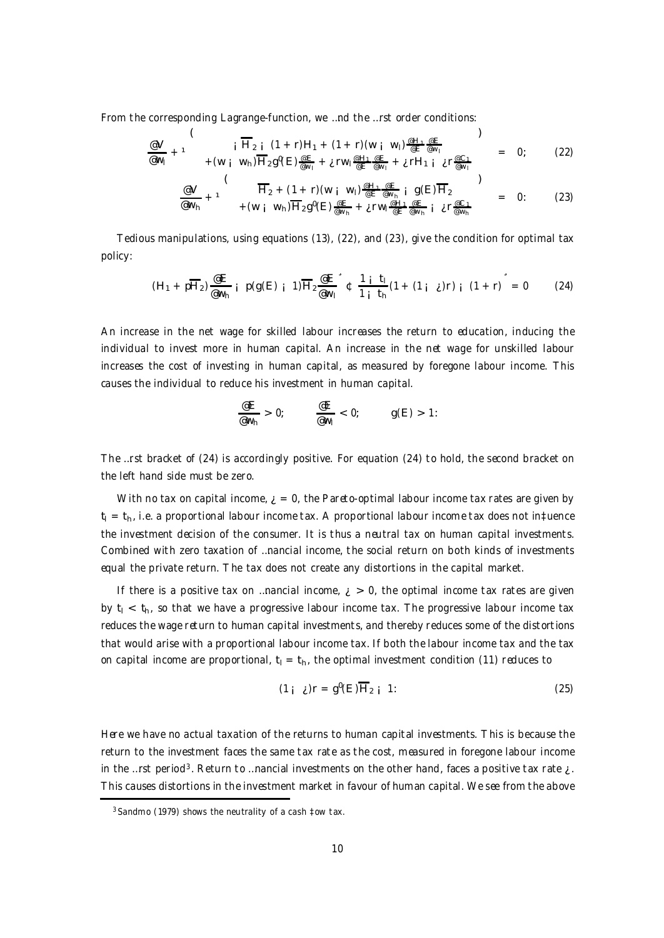From the corresponding Lagrange-function, we …nd the …rst order conditions:

$$
\frac{\omega V}{\omega_{N_1}} + 1 \qquad i \qquad \overline{H_{2i}} \left(1 + r\right)H_1 + (1 + r)(w_i \ w_i) \frac{\omega H_1 \omega E}{\omega E \omega_{N_1}} + \omega H_1 \omega E \frac{\omega H_1 \omega E}{\omega_{N_1}} = 0; \qquad (22)
$$

$$
\frac{\mathscr{C}V}{\mathscr{C}w_{h}} + 1 \qquad \qquad \frac{\overline{H}_{2} + (1+r)(w_{i} w_{i}) \frac{\mathscr{C}H_{1} \mathscr{C}E}{\mathscr{C}w_{h}} i g(E) \overline{H}_{2}}{+ (w_{i} w_{h}) \overline{H}_{2} g^{\theta}(E) \frac{\mathscr{C}E}{\mathscr{C}w_{h}} + i r w_{i} \frac{\mathscr{C}H_{1} \mathscr{C}E}{\mathscr{C}w_{h}} i i r \frac{\mathscr{C}C_{1}}{\mathscr{C}w_{h}} = 0
$$
 (23)

Tedious manipulations, using equations (13), (22), and (23), give the condition for optimal tax policy:

$$
(H_1 + p\overline{H}_2) \frac{\mathscr{E}E}{\mathscr{E}w_h} i p(g(E) i 1)\overline{H}_2 \frac{\mathscr{E}E}{\mathscr{E}w_l}^{\dagger} t \frac{1 i t_l}{1 i t_h} (1 + (1 i t) r) i (1 + r)^{\dagger} = 0
$$
 (24)

An increase in the net wage for skilled labour increases the return to education, inducing the individual to invest more in human capital. An increase in the net wage for unskilled labour increases the cost of investing in human capital, as measured by foregone labour income. This causes the individual to reduce his investment in human capital.

$$
\frac{\mathsf{e} \mathsf{E}}{\mathsf{e} \mathsf{w}_{\mathsf{h}}} > 0; \qquad \frac{\mathsf{e} \mathsf{E}}{\mathsf{e} \mathsf{w}_{\mathsf{I}}} < 0; \qquad g(\mathsf{E}) > 1.
$$

The …rst bracket of (24) is accordingly positive. For equation (24) to hold, the second bracket on the left hand side must be zero.

With no tax on capital income,  $\zeta = 0$ , the Pareto-optimal labour income tax rates are given by  $t<sub>l</sub> = t<sub>h</sub>$ , i.e. a proportional labour income tax. A proportional labour income tax does not in‡uence the investment decision of the consumer. It is thus a neutral tax on human capital investments. Combined with zero taxation of …nancial income, the social return on both kinds of investments equal the private return. The tax does not create any distortions in the capital market.

If there is a positive tax on ... nancial income,  $i > 0$ , the optimal income tax rates are given by  $t_1 < t_{h_1}$  so that we have a progressive labour income tax. The progressive labour income tax reduces the wage return to human capital investments, and thereby reduces some of the distortions that would arise with a proportional labour income tax. If both the labour income tax and the tax on capital income are proportional,  $t_1 = t_h$ , the optimal investment condition (11) reduces to

$$
(1_{\mathbf{i}} \ \mathbf{j})\mathbf{r} = \mathbf{g}^0(\mathbf{E})\overline{\mathbf{H}}_2 \mathbf{i} \ 1 \tag{25}
$$

Here we have no actual taxation of the returns to human capital investments. This is because the return to the investment faces the same tax rate as the cost, measured in foregone labour income in the …rst period<sup>3</sup>. Return to …nancial investments on the other hand, faces a positive tax rate  $\zeta$ . This causes distortions in the investment market in favour of human capital. We see from the above

 $3$  Sandmo (1979) shows the neutrality of a cash  $\frac{1}{2}$ ow tax.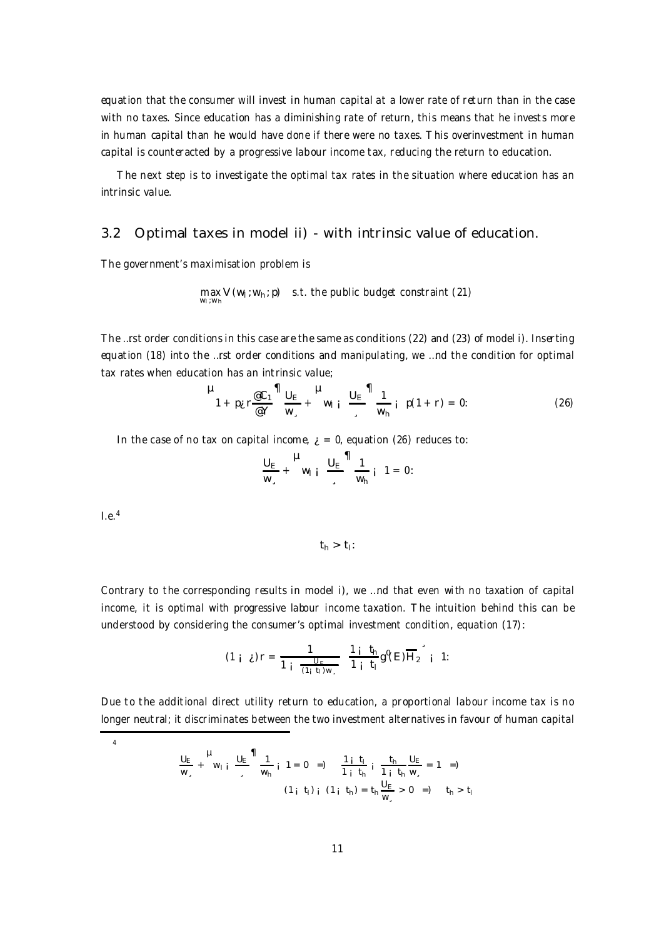equation that the consumer will invest in human capital at a lower rate of return than in the case with no taxes. Since education has a diminishing rate of return, this means that he invests more in human capital than he would have done if there were no taxes. This overinvestment in human capital is counteracted by a progressive labour income tax, reducing the return to education.

The next step is to investigate the optimal tax rates in the situation where education has an intrinsic value.

#### 3.2 Optimal taxes in model ii) - with intrinsic value of education.

The government's maximisation problem is

$$
\max_{w_i, w_h} V(w_i; w_h; p) \quad s.t. \text{ the public budget constraint (21)}
$$

The …rst order conditions in this case are the same as conditions (22) and (23) of model i). Inserting equation (18) into the …rst order conditions and manipulating, we …nd the condition for optimal tax rates when education has an intrinsic value;

$$
\mu_{1 + p_{\mathcal{L}} \Gamma \frac{\text{C}}{\text{C}} \Gamma} \eta_{\frac{U_{E}}{W_{s}}} + \mu_{W_{1} \mathbf{i}} \frac{U_{E}}{\text{C}} \eta_{W_{h}} \mathbf{j} \quad p(1 + r) = 0: \tag{26}
$$

In the case of no tax on capital income,  $\zeta = 0$ , equation (26) reduces to:

$$
\frac{U_{E}}{W_{s}} + \frac{H}{W_{1}} \mathbf{i} \quad \frac{U_{E}}{S} = \frac{1}{W_{h}} \mathbf{i} \quad 1 = 0:
$$

 $l.e.<sup>4</sup>$ 

4

$$
t_h > t_l \colon
$$

Contrary to the corresponding results in model i), we …nd that even with no taxation of capital income, it is optimal with progressive labour income taxation. The intuition behind this can be understood by considering the consumer's optimal investment condition, equation (17):

$$
(1 + \lambda)r = \frac{1}{1 + \frac{U_F}{(1 + t_1)W_{\lambda}}} \frac{1 + t_n}{1 + t_1} g^0(E) \overline{H_2}^* + 1:
$$

Due to the additional direct utility return to education, a proportional labour income tax is no longer neutral; it discriminates between the two investment alternatives in favour of human capital

$$
\frac{U_E}{w_s} + \frac{\mu}{w_{1i}} \frac{U_E}{\frac{1}{w_h}} \frac{1}{i} \frac{1}{1} = 0 \Rightarrow \frac{1}{1} \frac{t_1}{i} \frac{t_1}{t_h} \frac{t_h}{\frac{1}{w_s}} = 1 \Rightarrow
$$
\n
$$
(1_{i} \ t_{i})_{i} \ (1_{i} \ t_{h}) = t_{h} \frac{U_E}{w_s} > 0 \Rightarrow \quad t_{h} > t_{i}
$$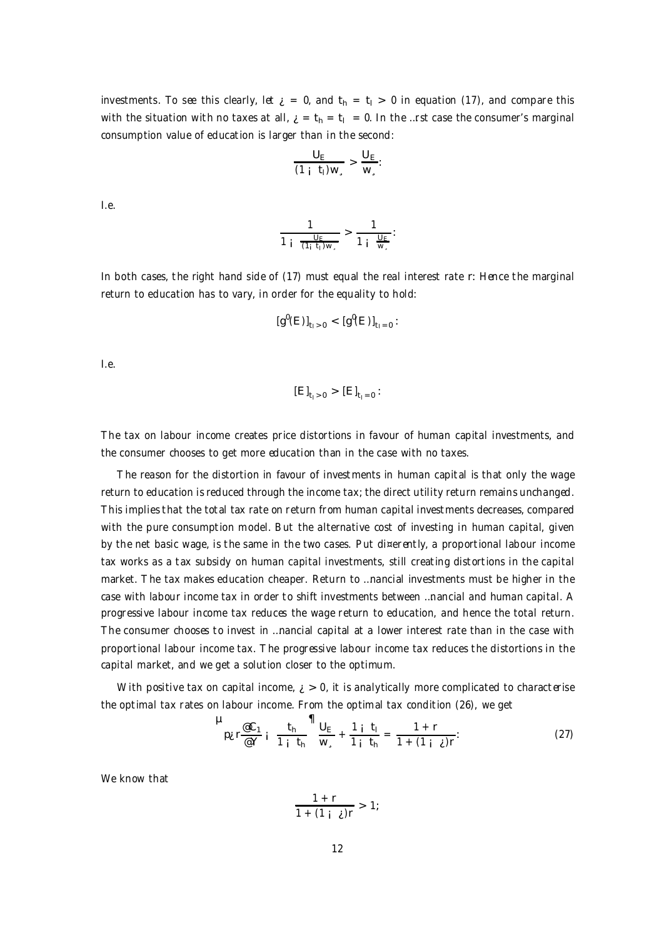investments. To see this clearly, let  $\zeta = 0$ , and  $t<sub>h</sub> = t<sub>l</sub> > 0$  in equation (17), and compare this with the situation with no taxes at all,  $\lambda = t_h = t_l = 0$ . In the …rst case the consumer's marginal consumption value of education is larger than in the second:

$$
\frac{U_E}{(1+i_1)W_{\circ}} > \frac{U_E}{W_{\circ}}.
$$

I.e.

$$
\frac{1}{1 + \frac{U_F}{(1_i + I_1)W_*}} > \frac{1}{1 + \frac{U_F}{W_*}};
$$

In both cases, the right hand side of (17) must equal the real interest rate r: Hence the marginal return to education has to vary, in order for the equality to hold:

$$
[g^0(E)]_{t_1>0} < [g^0(E)]_{t_1=0}:
$$

I.e.

$$
[E]_{t_1>0} > [E]_{t_1=0}
$$

The tax on labour income creates price distortions in favour of human capital investments, and the consumer chooses to get more education than in the case with no taxes.

The reason for the distortion in favour of investments in human capital is that only the wage return to education is reduced through the income tax; the direct utility return remains unchanged. This implies that the total tax rate on return from human capital investments decreases, compared with the pure consumption model. But the alternative cost of investing in human capital, given by the net basic wage, is the same in the two cases. Put di¤erently, a proportional labour income tax works as a tax subsidy on human capital investments, still creating distortions in the capital market. The tax makes education cheaper. Return to …nancial investments must be higher in the case with labour income tax in order to shift investments between …nancial and human capital. A progressive labour income tax reduces the wage return to education, and hence the total return. The consumer chooses to invest in …nancial capital at a lower interest rate than in the case with proportional labour income tax. The progressive labour income tax reduces the distortions in the capital market, and we get a solution closer to the optimum.

With positive tax on capital income,  $\zeta > 0$ , it is analytically more complicated to characterise the optimal tax rates on labour income. From the optimal tax condition (26), we get

$$
\mu_{\rho_{\mathcal{L}}\Gamma\frac{\mathscr{C}C_{1}}{\mathscr{C}Y}i\ \frac{t_{h}}{1+i\,t_{h}}}\frac{\mathsf{1}_{U_{E}}}{w_{s}}+\frac{1+i}{1+i\,t_{h}}=\frac{1+r}{1+(1+i\,i\,i)}.
$$
 (27)

We know that

$$
\frac{1+r}{1+(1+i)\epsilon}>1;
$$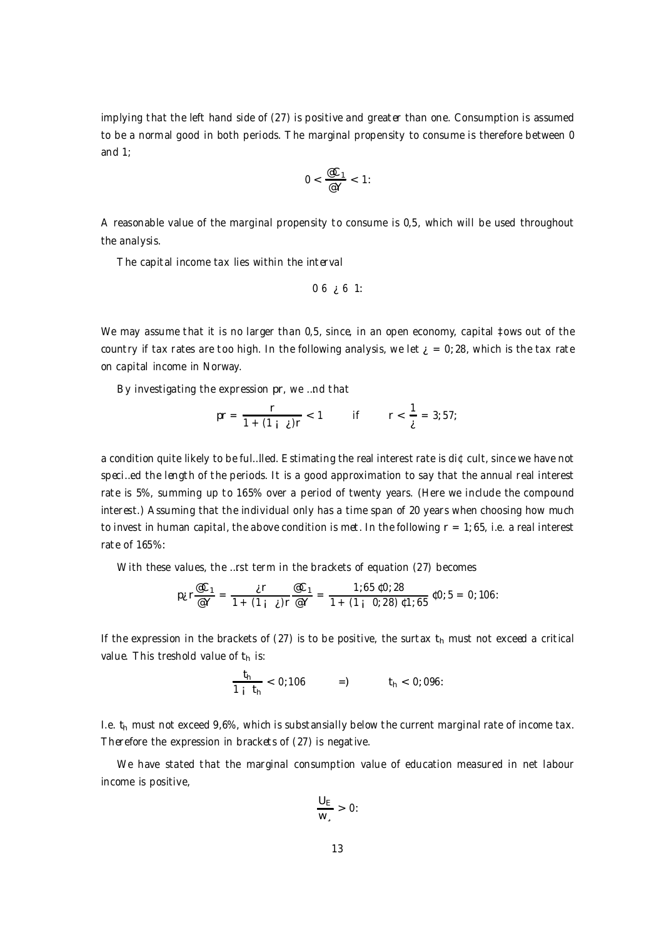implying that the left hand side of (27) is positive and greater than one. Consumption is assumed to be a normal good in both periods. The marginal propensity to consume is therefore between 0 and 1;

$$
0<\frac{\varpi C_1}{\varpi\gamma}<1.
$$

A reasonable value of the marginal propensity to consume is 0,5, which will be used throughout the analysis.

The capital income tax lies within the interval

$$
0\;6\; \text{g}\;6\;1:
$$

We may assume that it is no larger than 0,5, since, in an open economy, capital tows out of the country if tax rates are too high. In the following analysis, we let  $\zeta = 0$ ; 28, which is the tax rate on capital income in Norway.

By investigating the expression pr, we …nd that

$$
pr = \frac{r}{1 + (1 + \lambda)r} < 1 \qquad \text{if} \qquad r < \frac{1}{\lambda} = 3; 57;
$$

a condition quite likely to be ful…lled. Estimating the real interest rate is di¢cult, since we have not speci…ed the length of the periods. It is a good approximation to say that the annual real interest rate is 5%, summing up to 165% over a period of twenty years. (Here we include the compound interest.) Assuming that the individual only has a time span of 20 years when choosing how much to invest in human capital, the above condition is met. In the following  $r = 1$ ; 65, i.e. a real interest rate of 165%:

With these values, the …rst term in the brackets of equation (27) becomes

$$
p_{\mathcal{E}} r \frac{\mathcal{C} C_1}{\mathcal{C} Y} = \frac{\mathcal{E} r}{1 + (1 + \mathcal{E}) r} \frac{\mathcal{C} C_1}{\mathcal{C} Y} = \frac{1;65 \, \mathfrak{C} 0;28}{1 + (1 + \mathcal{C} 0;28) \, \mathfrak{C} 1;65} \, \mathfrak{C} 0;5 = 0;106.
$$

If the expression in the brackets of (27) is to be positive, the surtax  $t<sub>h</sub>$  must not exceed a critical value. This treshold value of  $t_h$  is:

$$
\frac{t_h}{1+i} < 0; 106 \qquad =) \qquad t_h < 0; 096
$$

I.e.  $t_h$  must not exceed 9,6%, which is substansially below the current marginal rate of income tax. Therefore the expression in brackets of (27) is negative.

We have stated that the marginal consumption value of education measured in net labour income is positive,

$$
\frac{U_E}{W_s}>0\colon
$$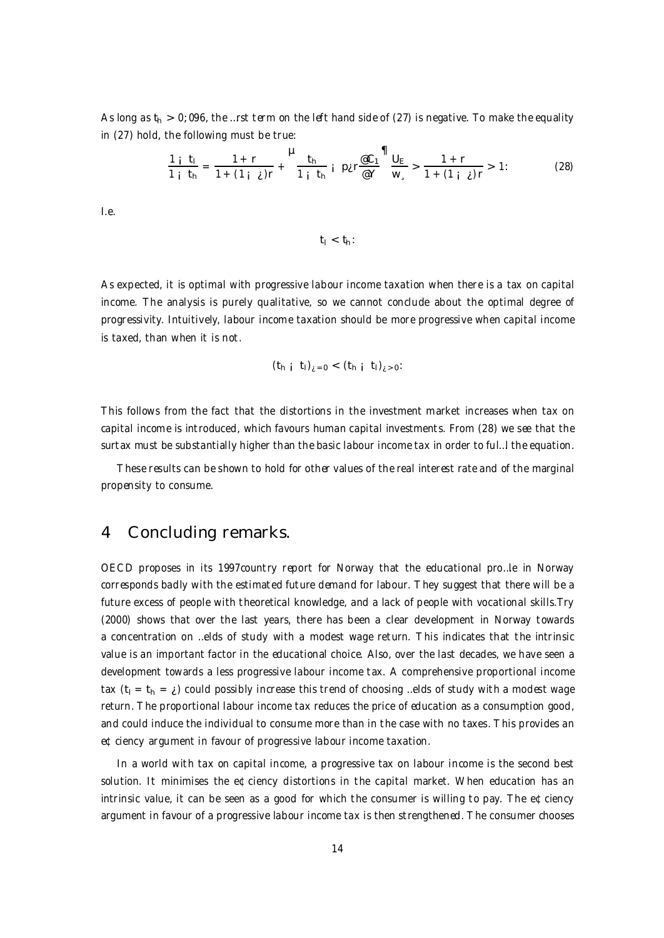As long as  $t_h > 0$ ; 096, the ...rst term on the left hand side of (27) is negative. To make the equality in (27) hold, the following must be true:

$$
\frac{1+i_1}{1+i_1} = \frac{1+r}{1+(1+i_r)r} + \frac{\mu_{t_h}}{1+i_h} i \text{ p}_{\mathcal{E}} r \frac{\text{e}_{C_1}}{\text{e}_{\mathcal{Y}}} \frac{\text{d}_{E}}{\text{w}_{s}} > \frac{1+r}{1+(1+i_r)r} > 1: \tag{28}
$$

I.e.

$$
t_1 < t_h \colon
$$

As expected, it is optimal with progressive labour income taxation when there is a tax on capital income. The analysis is purely qualitative, so we cannot conclude about the optimal degree of progressivity. Intuitively, labour income taxation should be more progressive when capital income is taxed, than when it is not.

$$
(t_{h i} t_{i})_{i=0} < (t_{h i} t_{i})_{i>0}
$$
:

This follows from the fact that the distortions in the investment market increases when tax on capital income is introduced, which favours human capital investments. From (28) we see that the surtax must be substantially higher than the basic labour income tax in order to ful…l the equation.

These results can be shown to hold for other values of the real interest rate and of the marginal propensity to consume.

## 4 Concluding remarks.

OECD proposes in its 1997country report for Norway that the educational pro…le in Norway corresponds badly with the estimated future demand for labour. They suggest that there will be a future excess of people with theoretical knowledge, and a lack of people with vocational skills.Try (2000) shows that over the last years, there has been a clear development in Norway towards a concentration on …elds of study with a modest wage return. This indicates that the intrinsic value is an important factor in the educational choice. Also, over the last decades, we have seen a development towards a less progressive labour income tax. A comprehensive proportional income tax  $(t_1 = t_h = i)$  could possibly increase this trend of choosing …elds of study with a modest wage return. The proportional labour income tax reduces the price of education as a consumption good, and could induce the individual to consume more than in the case with no taxes. This provides an e¢ciency argument in favour of progressive labour income taxation.

In a world with tax on capital income, a progressive tax on labour income is the second best solution. It minimises the e¢ciency distortions in the capital market. When education has an intrinsic value, it can be seen as a good for which the consumer is willing to pay. The e $\Phi$ ciency argument in favour of a progressive labour income tax is then strengthened. The consumer chooses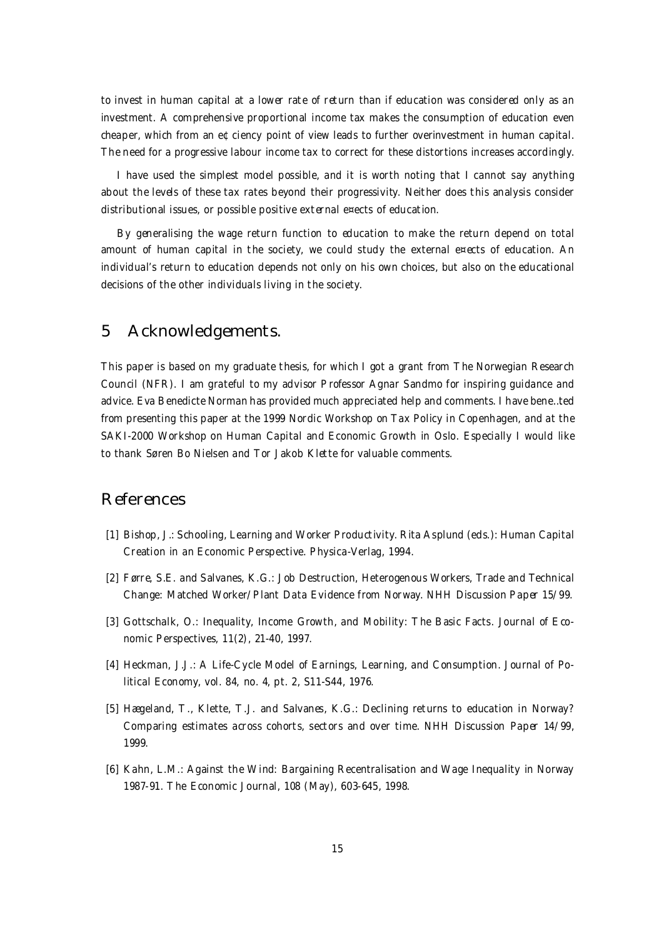to invest in human capital at a lower rate of return than if education was considered only as an investment. A comprehensive proportional income tax makes the consumption of education even cheaper, which from an e¢ciency point of view leads to further overinvestment in human capital. The need for a progressive labour income tax to correct for these distortions increases accordingly.

I have used the simplest model possible, and it is worth noting that I cannot say anything about the levels of these tax rates beyond their progressivity. Neither does this analysis consider distributional issues, or possible positive external e¤ects of education.

By generalising the wage return function to education to make the return depend on total amount of human capital in the society, we could study the external e¤ects of education. An individual's return to education depends not only on his own choices, but also on the educational decisions of the other individuals living in the society.

# 5 Acknowledgements.

This paper is based on my graduate thesis, for which I got a grant from The Norwegian Research Council (NFR). I am grateful to my advisor Professor Agnar Sandmo for inspiring guidance and advice. Eva Benedicte Norman has provided much appreciated help and comments. I have bene…ted from presenting this paper at the 1999 Nordic Workshop on Tax Policy in Copenhagen, and at the SAKI-2000 Workshop on Human Capital and Economic Growth in Oslo. Especially I would like to thank Søren Bo Nielsen and Tor Jakob Klette for valuable comments.

## References

- [1] Bishop, J.: Schooling, Learning and Worker Productivity. Rita Asplund (eds.): Human Capital Creation in an Economic Perspective. Physica-Verlag, 1994.
- [2] Førre, S.E. and Salvanes, K.G.: Job Destruction, Heterogenous Workers, Trade and Technical Change: Matched Worker/Plant Data Evidence from Norway. NHH Discussion Paper 15/99.
- [3] Gottschalk, O.: Inequality, Income Growth, and Mobility: The Basic Facts. Journal of Economic Perspectives, 11(2), 21-40, 1997.
- [4] Heckman, J.J.: A Life-Cycle Model of Earnings, Learning, and Consumption. Journal of Political Economy, vol. 84, no. 4, pt. 2, S11-S44, 1976.
- [5] Hægeland, T., Klette, T.J. and Salvanes, K.G.: Declining returns to education in Norway? Comparing estimates across cohorts, sectors and over time. NHH Discussion Paper 14/99, 1999.
- [6] Kahn, L.M.: Against the Wind: Bargaining Recentralisation and Wage Inequality in Norway 1987-91. The Economic Journal, 108 (May), 603-645, 1998.